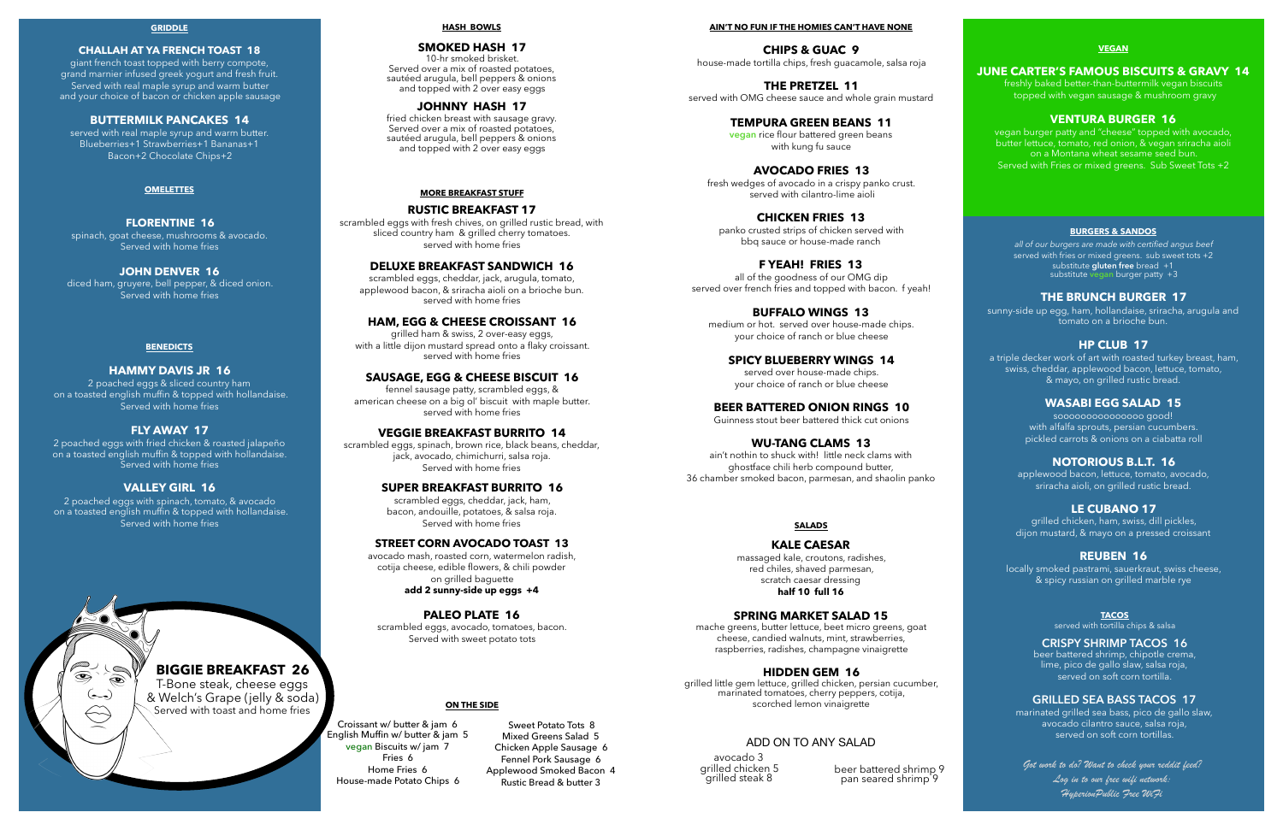#### **MORE BREAKFAST STUFF**

#### **RUSTIC BREAKFAST 17**

scrambled eggs with fresh chives, on grilled rustic bread, with sliced country ham & grilled cherry tomatoes. served with home fries

#### **DELUXE BREAKFAST SANDWICH 16**

scrambled eggs, cheddar, jack, arugula, tomato, applewood bacon, & sriracha aioli on a brioche bun. served with home fries

#### **HAM, EGG & CHEESE CROISSANT 16**

grilled ham & swiss, 2 over-easy eggs, with a little dijon mustard spread onto a flaky croissant. served with home fries

#### **SAUSAGE, EGG & CHEESE BISCUIT 16**

fennel sausage patty, scrambled eggs, & american cheese on a big ol' biscuit with maple butter. served with home fries

#### **VEGGIE BREAKFAST BURRITO 14**

scrambled eggs, spinach, brown rice, black beans, cheddar, jack, avocado, chimichurri, salsa roja. Served with home fries

#### **SUPER BREAKFAST BURRITO 16**

scrambled eggs, cheddar, jack, ham, bacon, andouille, potatoes, & salsa roja. Served with home fries

#### **STREET CORN AVOCADO TOAST 13**

avocado mash, roasted corn, watermelon radish, cotija cheese, edible flowers, & chili powder on grilled baguette **add 2 sunny-side up eggs +4** 

#### **PALEO PLATE 16**

scrambled eggs, avocado, tomatoes, bacon. Served with sweet potato tots

#### **OMELETTES**

#### **FLORENTINE 16**

spinach, goat cheese, mushrooms & avocado. Served with home fries

#### **JOHN DENVER 16**

diced ham, gruyere, bell pepper, & diced onion. Served with home fries

> Croissant w/ butter & jam 6 English Muffin w/ butter & jam 5 vegan Biscuits w/ jam 7 Fries 6 Home Fries 6 House-made Potato Chips 6

#### **BURGERS & SANDOS**

#### **THE BRUNCH BURGER 17**

sunny-side up egg, ham, hollandaise, sriracha, arugula and tomato on a brioche bun.

#### **HP CLUB 17**

a triple decker work of art with roasted turkey breast, ham, swiss, cheddar, applewood bacon, lettuce, tomato, & mayo, on grilled rustic bread.

#### **WASABI EGG SALAD 15**

sooooooooooooooo good! with alfalfa sprouts, persian cucumbers. pickled carrots & onions on a ciabatta roll

#### **NOTORIOUS B.L.T. 16**

applewood bacon, lettuce, tomato, avocado, sriracha aioli, on grilled rustic bread.

#### **LE CUBANO 17**

grilled chicken, ham, swiss, dill pickles, dijon mustard, & mayo on a pressed croissant

#### **REUBEN 16**

locally smoked pastrami, sauerkraut, swiss cheese, & spicy russian on grilled marble rye

*all of our burgers are made with certified angus beef*  served with fries or mixed greens. sub sweet tots +2 substitute **gluten free** bread +1 substitute **vegan** burger patty +3

avocado 3 grilled chicken 5 grilled steak 8

#### **AIN'T NO FUN IF THE HOMIES CAN'T HAVE NONE**

**CHIPS & GUAC 9**  house-made tortilla chips, fresh guacamole, salsa roja

**THE PRETZEL 11**  served with OMG cheese sauce and whole grain mustard

#### **TEMPURA GREEN BEANS 11**

**vegan** rice flour battered green beans with kung fu sauce

#### **AVOCADO FRIES 13**

fresh wedges of avocado in a crispy panko crust. served with cilantro-lime aioli

#### **CHICKEN FRIES 13**

beer battered shrimp 9 pan seared shrimp<sup>9</sup>

panko crusted strips of chicken served with bbq sauce or house-made ranch

#### **F YEAH! FRIES 13**

beer battered shrimp, chipotle crema, lime, pico de gallo slaw, salsa roja, served on soft corn tortilla.

all of the goodness of our OMG dip served over french fries and topped with bacon. f yeah!

#### **BUFFALO WINGS 13**

medium or hot. served over house-made chips. your choice of ranch or blue cheese

#### **SPICY BLUEBERRY WINGS 14**

served over house-made chips. your choice of ranch or blue cheese

#### **BEER BATTERED ONION RINGS 10**

Guinness stout beer battered thick cut onions

#### **WU-TANG CLAMS 13**

ain't nothin to shuck with! little neck clams with ghostface chili herb compound butter, 36 chamber smoked bacon, parmesan, and shaolin panko

#### **BENEDICTS**

#### **HAMMY DAVIS JR 16**

2 poached eggs & sliced country ham on a toasted english muffin & topped with hollandaise. Served with home fries

#### **FLY AWAY 17**

2 poached eggs with fried chicken & roasted jalapeño on a toasted english muffin & topped with hollandaise. Served with home fries

#### **VALLEY GIRL 16**

2 poached eggs with spinach, tomato, & avocado on a toasted english muffin & topped with hollandaise. Served with home fries

 $\circledast$ 

#### **GRIDDLE**

#### **CHALLAH AT YA FRENCH TOAST 18**

giant french toast topped with berry compote, grand marnier infused greek yogurt and fresh fruit. Served with real maple syrup and warm butter and your choice of bacon or chicken apple sausage

#### **BUTTERMILK PANCAKES 14**

served with real maple syrup and warm butter. Blueberries+1 Strawberries+1 Bananas+1 Bacon+2 Chocolate Chips+2

#### **HASH BOWLS**

#### **SMOKED HASH 17**

10-hr smoked brisket. Served over a mix of roasted potatoes, sautéed arugula, bell peppers & onions and topped with 2 over easy eggs

#### **JOHNNY HASH 17**

fried chicken breast with sausage gravy. Served over a mix of roasted potatoes, sautéed arugula, bell peppers & onions and topped with 2 over easy eggs

#### **SALADS**

#### **KALE CAESAR**

massaged kale, croutons, radishes, red chiles, shaved parmesan, scratch caesar dressing **half 10 full 16** 

#### **SPRING MARKET SALAD 15**

mache greens, butter lettuce, beet micro greens, goat cheese, candied walnuts, mint, strawberries, raspberries, radishes, champagne vinaigrette

#### **HIDDEN GEM 16**

grilled little gem lettuce, grilled chicken, persian cucumber, marinated tomatoes, cherry peppers, cotija, scorched lemon vinaigrette

## **BIGGIE BREAKFAST 26**  T-Bone steak, cheese eggs

& Welch's Grape (jelly & soda) Served with toast and home fries

#### **VEGAN**

#### **JUNE CARTER'S FAMOUS BISCUITS & GRAVY 14**

freshly baked better-than-buttermilk vegan biscuits topped with vegan sausage & mushroom gravy

#### **VENTURA BURGER 16**

vegan burger patty and "cheese" topped with avocado, butter lettuce, tomato, red onion, & vegan sriracha aioli on a Montana wheat sesame seed bun. Served with Fries or mixed greens. Sub Sweet Tots +2

Sweet Potato Tots 8 Mixed Greens Salad 5 Chicken Apple Sausage 6 Fennel Pork Sausage 6 Applewood Smoked Bacon 4 Rustic Bread & butter 3

#### **ON THE SIDE**

#### ADD ON TO ANY SALAD

#### **TACOS**

served with tortilla chips & salsa

#### **CRISPY SHRIMP TACOS 16**

#### **GRILLED SEA BASS TACOS 17**

marinated grilled sea bass, pico de gallo slaw, avocado cilantro sauce, salsa roja, served on soft corn tortillas.

*Got work to do? Want to check your reddit feed? Log in to our free wifi network: HyperionPublic Free WiFi*